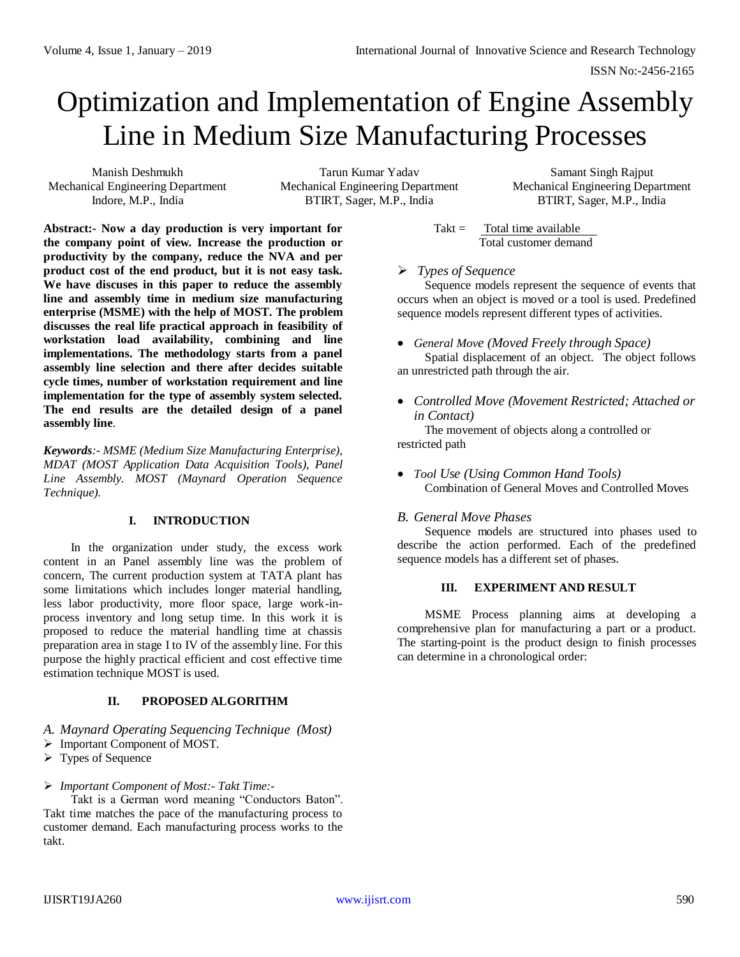# Optimization and Implementation of Engine Assembly Line in Medium Size Manufacturing Processes

Manish Deshmukh Mechanical Engineering Department Indore, M.P., India

Tarun Kumar Yadav Mechanical Engineering Department BTIRT, Sager, M.P., India

Samant Singh Rajput Mechanical Engineering Department BTIRT, Sager, M.P., India

**Abstract:- Now a day production is very important for the company point of view. Increase the production or productivity by the company, reduce the NVA and per product cost of the end product, but it is not easy task. We have discuses in this paper to reduce the assembly line and assembly time in medium size manufacturing enterprise (MSME) with the help of MOST. The problem discusses the real life practical approach in feasibility of workstation load availability, combining and line implementations. The methodology starts from a panel assembly line selection and there after decides suitable cycle times, number of workstation requirement and line implementation for the type of assembly system selected. The end results are the detailed design of a panel assembly line**.

*Keywords:- MSME (Medium Size Manufacturing Enterprise), MDAT (MOST Application Data Acquisition Tools), Panel Line Assembly. MOST (Maynard Operation Sequence Technique).*

### **I. INTRODUCTION**

In the organization under study, the excess work content in an Panel assembly line was the problem of concern, The current production system at TATA plant has some limitations which includes longer material handling, less labor productivity, more floor space, large work-inprocess inventory and long setup time. In this work it is proposed to reduce the material handling time at chassis preparation area in stage I to IV of the assembly line. For this purpose the highly practical efficient and cost effective time estimation technique MOST is used.

# **II. PROPOSED ALGORITHM**

- *A. Maynard Operating Sequencing Technique (Most)*
- Important Component of MOST.
- Types of Sequence
- *Important Component of Most:- Takt Time:-*

Takt is a German word meaning "Conductors Baton". Takt time matches the pace of the manufacturing process to customer demand. Each manufacturing process works to the takt.

 $Takt =$  Total time available Total customer demand

### *Types of Sequence*

Sequence models represent the sequence of events that occurs when an object is moved or a tool is used. Predefined sequence models represent different types of activities.

*General Move (Moved Freely through Space)*

Spatial displacement of an object. The object follows an unrestricted path through the air.

 *Controlled Move (Movement Restricted; Attached or in Contact)*

The movement of objects along a controlled or restricted path

 *Tool Use (Using Common Hand Tools)* Combination of General Moves and Controlled Moves

# *B. General Move Phases*

Sequence models are structured into phases used to describe the action performed. Each of the predefined sequence models has a different set of phases.

### **III. EXPERIMENT AND RESULT**

MSME Process planning aims at developing a comprehensive plan for manufacturing a part or a product. The starting-point is the product design to finish processes can determine in a chronological order: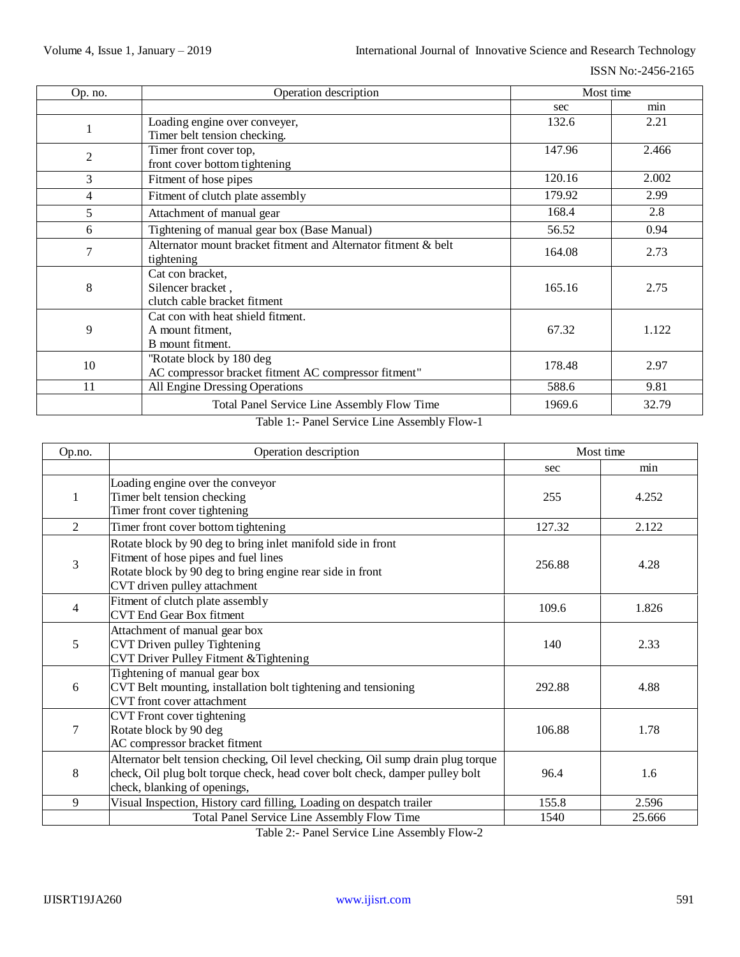ISSN No:-2456-2165

| Op. no. | Operation description                                          | Most time |       |
|---------|----------------------------------------------------------------|-----------|-------|
|         |                                                                | sec       | min   |
|         | Loading engine over conveyer,                                  | 132.6     | 2.21  |
|         | Timer belt tension checking.                                   |           |       |
| 2       | Timer front cover top,                                         | 147.96    | 2.466 |
|         | front cover bottom tightening                                  |           |       |
| 3       | Fitment of hose pipes                                          | 120.16    | 2.002 |
| 4       | Fitment of clutch plate assembly                               | 179.92    | 2.99  |
| 5       | Attachment of manual gear                                      |           | 2.8   |
| 6       | Tightening of manual gear box (Base Manual)                    |           | 0.94  |
| 7       | Alternator mount bracket fitment and Alternator fitment & belt | 164.08    | 2.73  |
|         | tightening                                                     |           |       |
|         | Cat con bracket,                                               |           |       |
| 8       | Silencer bracket,                                              | 165.16    | 2.75  |
|         | clutch cable bracket fitment                                   |           |       |
| 9       | Cat con with heat shield fitment.                              |           |       |
|         | A mount fitment,                                               | 67.32     | 1.122 |
|         | B mount fitment.                                               |           |       |
| 10      | "Rotate block by 180 deg                                       | 178.48    | 2.97  |
|         | AC compressor bracket fitment AC compressor fitment"           |           |       |
| 11      | All Engine Dressing Operations                                 | 588.6     | 9.81  |
|         | <b>Total Panel Service Line Assembly Flow Time</b>             | 1969.6    | 32.79 |

## Table 1:- Panel Service Line Assembly Flow-1

| Op.no.         | Operation description                                                                                                                                                                                       | Most time |        |
|----------------|-------------------------------------------------------------------------------------------------------------------------------------------------------------------------------------------------------------|-----------|--------|
|                |                                                                                                                                                                                                             | sec       | min    |
| 1              | Loading engine over the conveyor<br>Timer belt tension checking<br>Timer front cover tightening                                                                                                             | 255       | 4.252  |
| $\overline{2}$ | Timer front cover bottom tightening                                                                                                                                                                         | 127.32    | 2.122  |
| 3              | Rotate block by 90 deg to bring inlet manifold side in front<br>Fitment of hose pipes and fuel lines<br>256.88<br>Rotate block by 90 deg to bring engine rear side in front<br>CVT driven pulley attachment |           | 4.28   |
| 4              | Fitment of clutch plate assembly<br><b>CVT</b> End Gear Box fitment                                                                                                                                         | 109.6     | 1.826  |
| 5              | Attachment of manual gear box<br>CVT Driven pulley Tightening<br>CVT Driver Pulley Fitment & Tightening                                                                                                     | 140       | 2.33   |
| 6              | Tightening of manual gear box<br>CVT Belt mounting, installation bolt tightening and tensioning<br>CVT front cover attachment                                                                               | 292.88    | 4.88   |
| 7              | CVT Front cover tightening<br>Rotate block by 90 deg<br>AC compressor bracket fitment                                                                                                                       |           | 1.78   |
| 8              | Alternator belt tension checking, Oil level checking, Oil sump drain plug torque<br>check, Oil plug bolt torque check, head cover bolt check, damper pulley bolt<br>check, blanking of openings,            | 96.4      | 1.6    |
| 9              | Visual Inspection, History card filling, Loading on despatch trailer                                                                                                                                        | 155.8     | 2.596  |
|                | Total Panel Service Line Assembly Flow Time                                                                                                                                                                 | 1540      | 25.666 |

Table 2:- Panel Service Line Assembly Flow-2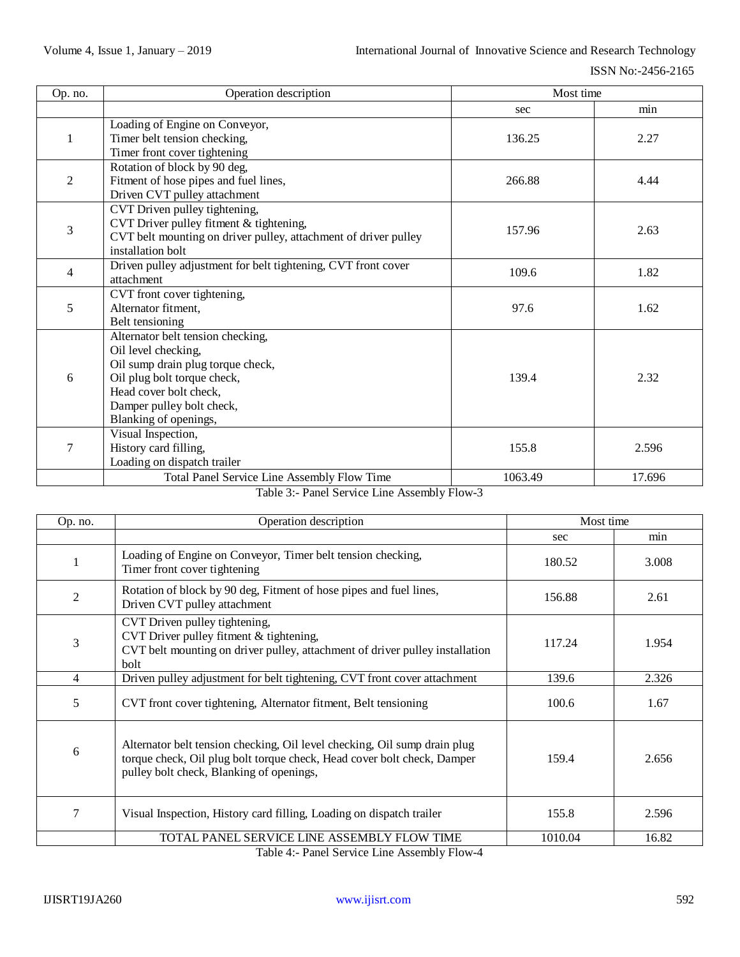| Op. no.        | Operation description                                           | Most time |        |
|----------------|-----------------------------------------------------------------|-----------|--------|
|                |                                                                 | sec       | min    |
| $\mathbf{1}$   | Loading of Engine on Conveyor,                                  |           |        |
|                | Timer belt tension checking,                                    | 136.25    | 2.27   |
|                | Timer front cover tightening                                    |           |        |
|                | Rotation of block by 90 deg,                                    |           |        |
| 2              | Fitment of hose pipes and fuel lines,                           | 266.88    | 4.44   |
|                | Driven CVT pulley attachment                                    |           |        |
|                | CVT Driven pulley tightening,                                   |           |        |
| 3              | CVT Driver pulley fitment & tightening,                         | 157.96    | 2.63   |
|                | CVT belt mounting on driver pulley, attachment of driver pulley |           |        |
|                | installation bolt                                               |           |        |
| $\overline{4}$ | Driven pulley adjustment for belt tightening, CVT front cover   | 109.6     | 1.82   |
|                | attachment                                                      |           |        |
|                | CVT front cover tightening,                                     |           |        |
| 5              | Alternator fitment,                                             | 97.6      | 1.62   |
|                | Belt tensioning                                                 |           |        |
|                | Alternator belt tension checking,                               |           | 2.32   |
|                | Oil level checking,                                             |           |        |
|                | Oil sump drain plug torque check,                               |           |        |
| 6              | Oil plug bolt torque check,                                     | 139.4     |        |
|                | Head cover bolt check,                                          |           |        |
|                | Damper pulley bolt check,                                       |           |        |
|                | Blanking of openings,                                           |           |        |
|                | Visual Inspection,                                              |           |        |
| $\tau$         | History card filling,                                           | 155.8     | 2.596  |
|                | Loading on dispatch trailer                                     |           |        |
|                | Total Panel Service Line Assembly Flow Time                     | 1063.49   | 17.696 |

#### Table 3:- Panel Service Line Assembly Flow-3

| Op. no.        | Operation description                                                                                                                                                                            | Most time      |       |
|----------------|--------------------------------------------------------------------------------------------------------------------------------------------------------------------------------------------------|----------------|-------|
|                |                                                                                                                                                                                                  | sec            | min   |
|                | Loading of Engine on Conveyor, Timer belt tension checking,<br>Timer front cover tightening                                                                                                      | 180.52         | 3.008 |
| $\overline{2}$ | Rotation of block by 90 deg, Fitment of hose pipes and fuel lines,<br>Driven CVT pulley attachment                                                                                               | 156.88<br>2.61 |       |
| 3              | CVT Driven pulley tightening,<br>CVT Driver pulley fitment & tightening,<br>117.24<br>CVT belt mounting on driver pulley, attachment of driver pulley installation<br>bolt                       |                | 1.954 |
| 4              | Driven pulley adjustment for belt tightening, CVT front cover attachment                                                                                                                         | 139.6          | 2.326 |
| 5              | CVT front cover tightening, Alternator fitment, Belt tensioning                                                                                                                                  | 100.6          | 1.67  |
| 6              | Alternator belt tension checking, Oil level checking, Oil sump drain plug<br>torque check, Oil plug bolt torque check, Head cover bolt check, Damper<br>pulley bolt check, Blanking of openings, | 159.4          | 2.656 |
| 7              | Visual Inspection, History card filling, Loading on dispatch trailer                                                                                                                             | 155.8          | 2.596 |
|                | TOTAL PANEL SERVICE LINE ASSEMBLY FLOW TIME                                                                                                                                                      | 1010.04        | 16.82 |

Table 4:- Panel Service Line Assembly Flow-4